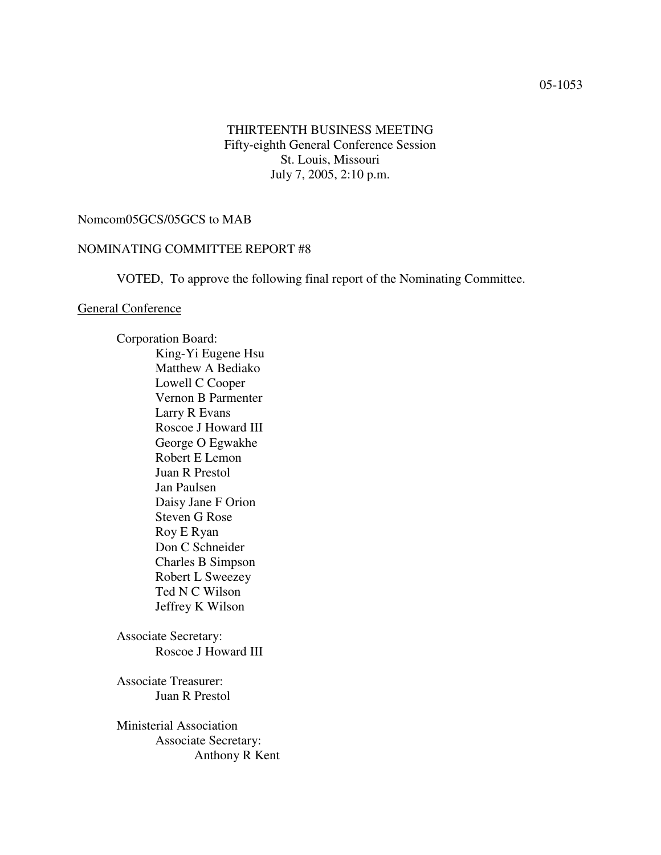### THIRTEENTH BUSINESS MEETING Fifty-eighth General Conference Session St. Louis, Missouri July 7, 2005, 2:10 p.m.

#### Nomcom05GCS/05GCS to MAB

#### NOMINATING COMMITTEE REPORT #8

VOTED, To approve the following final report of the Nominating Committee.

#### General Conference

Corporation Board: King-Yi Eugene Hsu Matthew A Bediako Lowell C Cooper Vernon B Parmenter Larry R Evans Roscoe J Howard III George O Egwakhe Robert E Lemon Juan R Prestol Jan Paulsen Daisy Jane F Orion Steven G Rose Roy E Ryan Don C Schneider Charles B Simpson Robert L Sweezey Ted N C Wilson Jeffrey K Wilson

Associate Secretary: Roscoe J Howard III

Associate Treasurer: Juan R Prestol

Ministerial Association Associate Secretary: Anthony R Kent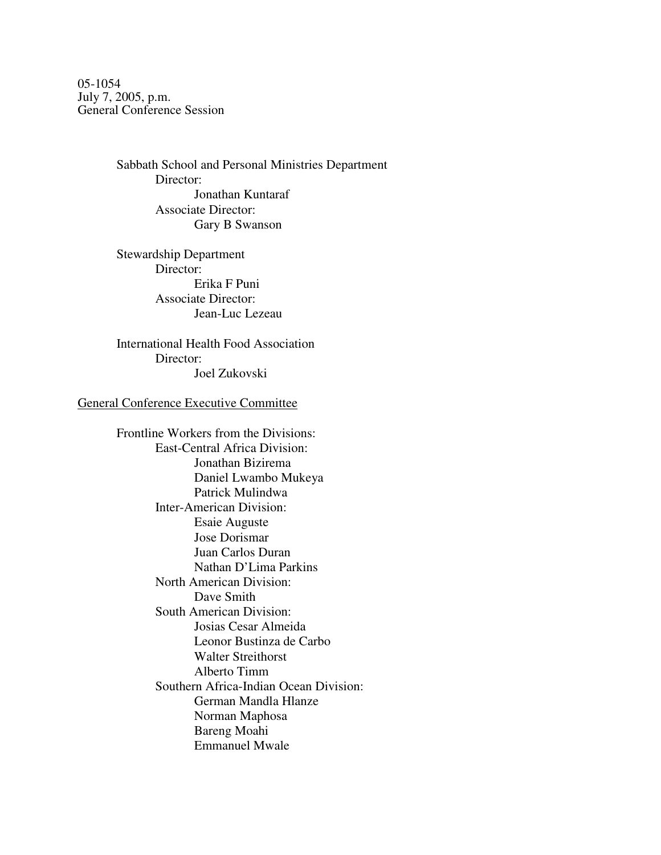05-1054 July 7, 2005, p.m. General Conference Session

> Sabbath School and Personal Ministries Department Director: Jonathan Kuntaraf Associate Director: Gary B Swanson

Stewardship Department Director: Erika F Puni Associate Director: Jean-Luc Lezeau

International Health Food Association Director: Joel Zukovski

#### General Conference Executive Committee

Frontline Workers from the Divisions: East-Central Africa Division: Jonathan Bizirema Daniel Lwambo Mukeya Patrick Mulindwa Inter-American Division: Esaie Auguste Jose Dorismar Juan Carlos Duran Nathan D'Lima Parkins North American Division: Dave Smith South American Division: Josias Cesar Almeida Leonor Bustinza de Carbo Walter Streithorst Alberto Timm Southern Africa-Indian Ocean Division: German Mandla Hlanze Norman Maphosa Bareng Moahi Emmanuel Mwale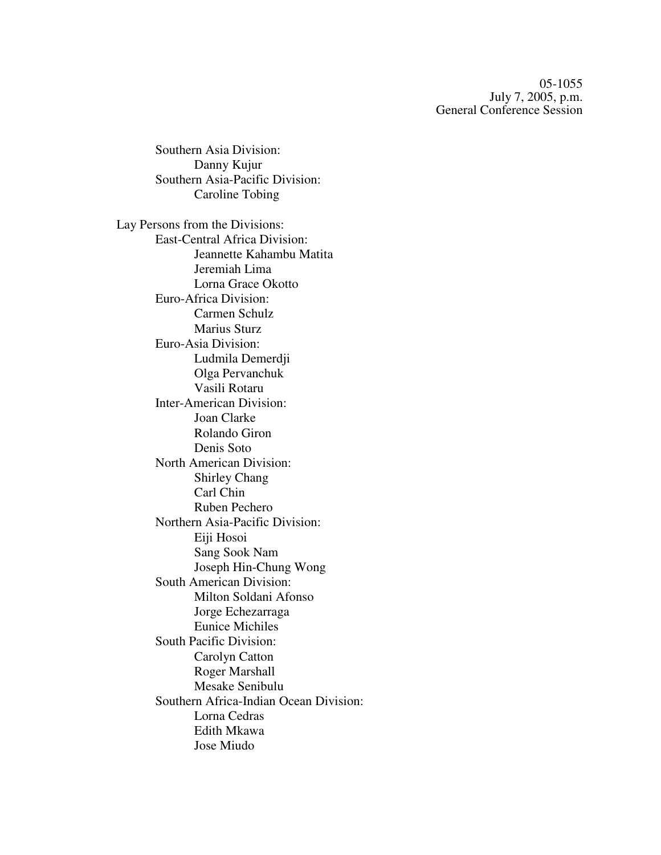05-1055 July 7, 2005, p.m. General Conference Session

Southern Asia Division: Danny Kujur Southern Asia-Pacific Division: Caroline Tobing Lay Persons from the Divisions: East-Central Africa Division: Jeannette Kahambu Matita Jeremiah Lima Lorna Grace Okotto Euro-Africa Division: Carmen Schulz Marius Sturz Euro-Asia Division: Ludmila Demerdji Olga Pervanchuk Vasili Rotaru Inter-American Division: Joan Clarke Rolando Giron Denis Soto North American Division: Shirley Chang Carl Chin Ruben Pechero Northern Asia-Pacific Division: Eiji Hosoi Sang Sook Nam Joseph Hin-Chung Wong South American Division: Milton Soldani Afonso Jorge Echezarraga Eunice Michiles South Pacific Division: Carolyn Catton Roger Marshall Mesake Senibulu Southern Africa-Indian Ocean Division: Lorna Cedras Edith Mkawa Jose Miudo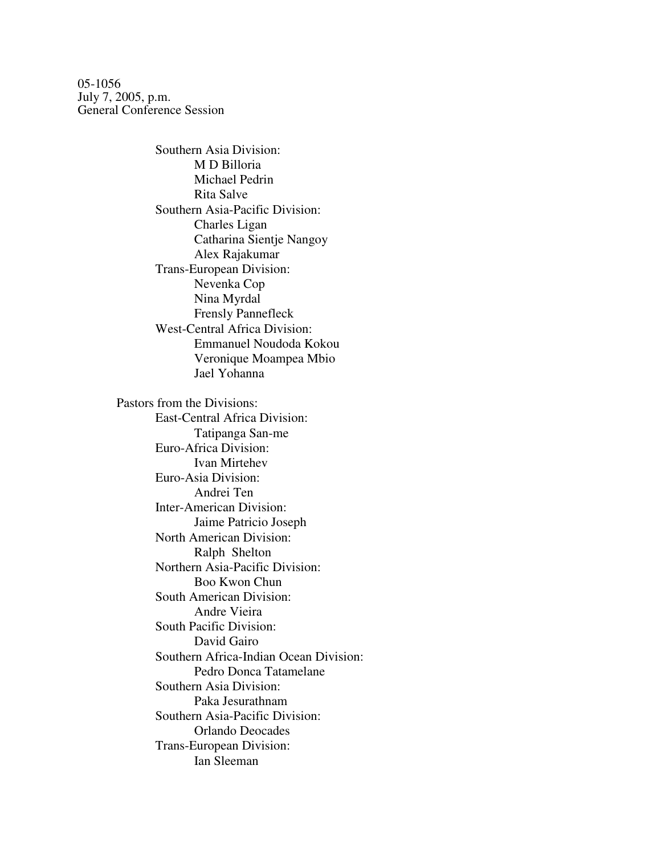05-1056 July 7, 2005, p.m. General Conference Session

> Southern Asia Division: M D Billoria Michael Pedrin Rita Salve Southern Asia-Pacific Division: Charles Ligan Catharina Sientje Nangoy Alex Rajakumar Trans-European Division: Nevenka Cop Nina Myrdal Frensly Pannefleck West-Central Africa Division: Emmanuel Noudoda Kokou Veronique Moampea Mbio Jael Yohanna Pastors from the Divisions: East-Central Africa Division: Tatipanga San-me Euro-Africa Division: Ivan Mirtehev Euro-Asia Division: Andrei Ten Inter-American Division: Jaime Patricio Joseph North American Division: Ralph Shelton Northern Asia-Pacific Division: Boo Kwon Chun South American Division: Andre Vieira South Pacific Division: David Gairo Southern Africa-Indian Ocean Division: Pedro Donca Tatamelane Southern Asia Division: Paka Jesurathnam Southern Asia-Pacific Division: Orlando Deocades Trans-European Division: Ian Sleeman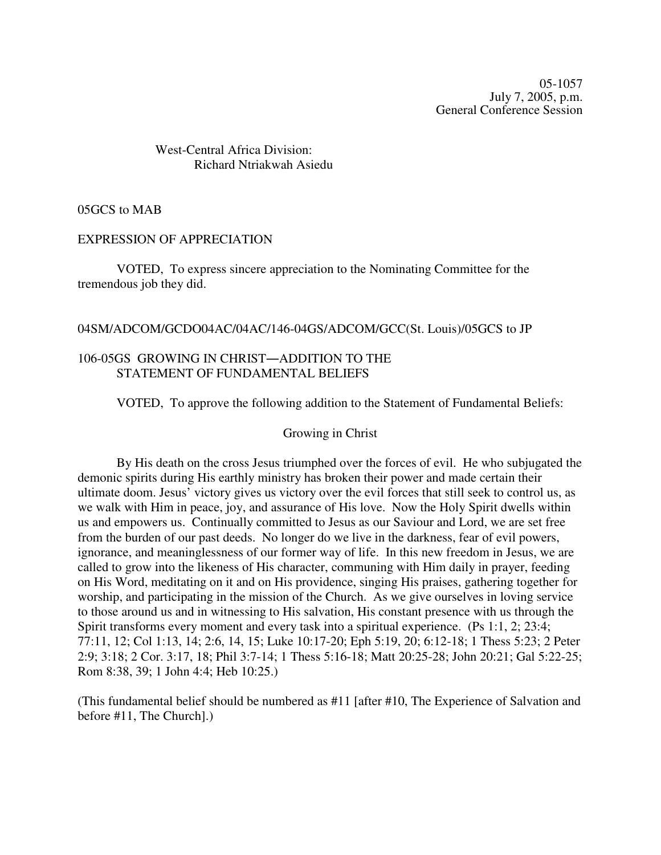05-1057 July 7, 2005, p.m. General Conference Session

# West-Central Africa Division: Richard Ntriakwah Asiedu

05GCS to MAB

#### EXPRESSION OF APPRECIATION

VOTED, To express sincere appreciation to the Nominating Committee for the tremendous job they did.

#### 04SM/ADCOM/GCDO04AC/04AC/146-04GS/ADCOM/GCC(St. Louis)/05GCS to JP

#### 106-05GS GROWING IN CHRIST-ADDITION TO THE STATEMENT OF FUNDAMENTAL BELIEFS

VOTED, To approve the following addition to the Statement of Fundamental Beliefs:

#### Growing in Christ

By His death on the cross Jesus triumphed over the forces of evil. He who subjugated the demonic spirits during His earthly ministry has broken their power and made certain their ultimate doom. Jesus' victory gives us victory over the evil forces that still seek to control us, as we walk with Him in peace, joy, and assurance of His love. Now the Holy Spirit dwells within us and empowers us. Continually committed to Jesus as our Saviour and Lord, we are set free from the burden of our past deeds. No longer do we live in the darkness, fear of evil powers, ignorance, and meaninglessness of our former way of life. In this new freedom in Jesus, we are called to grow into the likeness of His character, communing with Him daily in prayer, feeding on His Word, meditating on it and on His providence, singing His praises, gathering together for worship, and participating in the mission of the Church. As we give ourselves in loving service to those around us and in witnessing to His salvation, His constant presence with us through the Spirit transforms every moment and every task into a spiritual experience. (Ps 1:1, 2; 23:4; 77:11, 12; Col 1:13, 14; 2:6, 14, 15; Luke 10:17-20; Eph 5:19, 20; 6:12-18; 1 Thess 5:23; 2 Peter 2:9; 3:18; 2 Cor. 3:17, 18; Phil 3:7-14; 1 Thess 5:16-18; Matt 20:25-28; John 20:21; Gal 5:22-25; Rom 8:38, 39; 1 John 4:4; Heb 10:25.)

(This fundamental belief should be numbered as #11 [after #10, The Experience of Salvation and before #11, The Church].)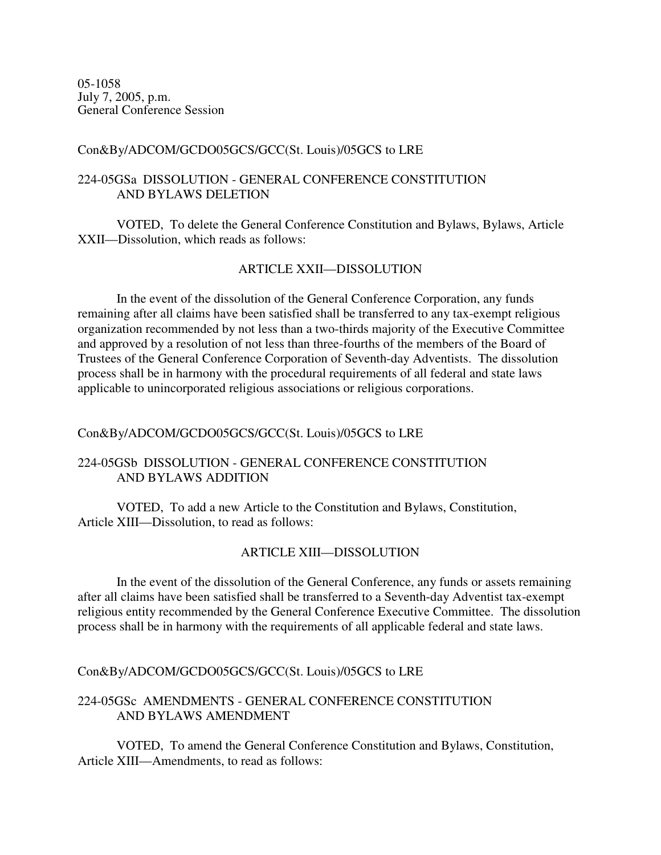05-1058 July 7, 2005, p.m. General Conference Session

### Con&By/ADCOM/GCDO05GCS/GCC(St. Louis)/05GCS to LRE

# 224-05GSa DISSOLUTION - GENERAL CONFERENCE CONSTITUTION AND BYLAWS DELETION

VOTED, To delete the General Conference Constitution and Bylaws, Bylaws, Article XXII—Dissolution, which reads as follows:

# ARTICLE XXII—DISSOLUTION

In the event of the dissolution of the General Conference Corporation, any funds remaining after all claims have been satisfied shall be transferred to any tax-exempt religious organization recommended by not less than a two-thirds majority of the Executive Committee and approved by a resolution of not less than three-fourths of the members of the Board of Trustees of the General Conference Corporation of Seventh-day Adventists. The dissolution process shall be in harmony with the procedural requirements of all federal and state laws applicable to unincorporated religious associations or religious corporations.

### Con&By/ADCOM/GCDO05GCS/GCC(St. Louis)/05GCS to LRE

# 224-05GSb DISSOLUTION - GENERAL CONFERENCE CONSTITUTION AND BYLAWS ADDITION

VOTED, To add a new Article to the Constitution and Bylaws, Constitution, Article XIII—Dissolution, to read as follows:

# ARTICLE XIII—DISSOLUTION

In the event of the dissolution of the General Conference, any funds or assets remaining after all claims have been satisfied shall be transferred to a Seventh-day Adventist tax-exempt religious entity recommended by the General Conference Executive Committee. The dissolution process shall be in harmony with the requirements of all applicable federal and state laws.

Con&By/ADCOM/GCDO05GCS/GCC(St. Louis)/05GCS to LRE

# 224-05GSc AMENDMENTS - GENERAL CONFERENCE CONSTITUTION AND BYLAWS AMENDMENT

VOTED, To amend the General Conference Constitution and Bylaws, Constitution, Article XIII—Amendments, to read as follows: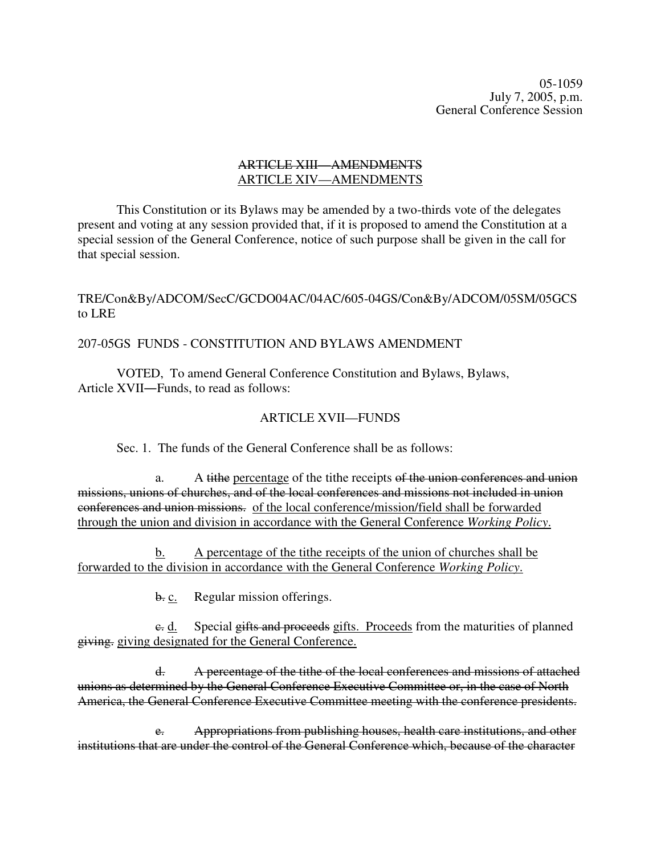05-1059 July 7, 2005, p.m. General Conference Session

#### ARTICLE XIII—AMENDMENTS ARTICLE XIV—AMENDMENTS

This Constitution or its Bylaws may be amended by a two-thirds vote of the delegates present and voting at any session provided that, if it is proposed to amend the Constitution at a special session of the General Conference, notice of such purpose shall be given in the call for that special session.

# TRE/Con&By/ADCOM/SecC/GCDO04AC/04AC/605-04GS/Con&By/ADCOM/05SM/05GCS to LRE

### 207-05GS FUNDS - CONSTITUTION AND BYLAWS AMENDMENT

VOTED, To amend General Conference Constitution and Bylaws, Bylaws, Article XVII—Funds, to read as follows:

### ARTICLE XVII—FUNDS

Sec. 1. The funds of the General Conference shall be as follows:

a. A tithe percentage of the tithe receipts of the union conferences and union missions, unions of churches, and of the local conferences and missions not included in union conferences and union missions. of the local conference/mission/field shall be forwarded through the union and division in accordance with the General Conference *Working Policy*.

b. A percentage of the tithe receipts of the union of churches shall be forwarded to the division in accordance with the General Conference *Working Policy*.

b. c. Regular mission offerings.

c. d. Special gifts and proceeds gifts. Proceeds from the maturities of planned giving. giving designated for the General Conference.

d. A percentage of the tithe of the local conferences and missions of attached unions as determined by the General Conference Executive Committee or, in the case of North America, the General Conference Executive Committee meeting with the conference presidents.

e. Appropriations from publishing houses, health care institutions, and other institutions that are under the control of the General Conference which, because of the character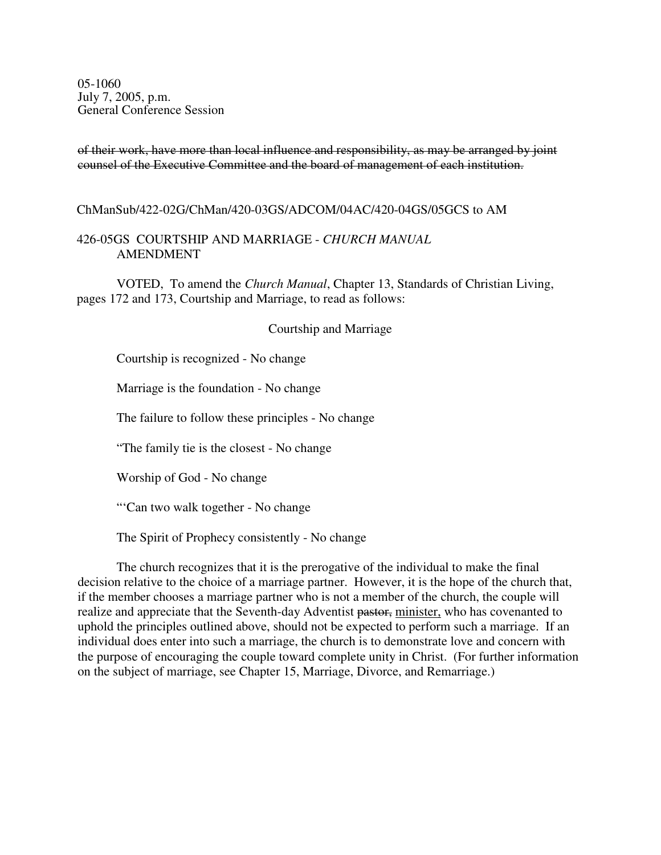05-1060 July 7, 2005, p.m. General Conference Session

of their work, have more than local influence and responsibility, as may be arranged by joint counsel of the Executive Committee and the board of management of each institution.

ChManSub/422-02G/ChMan/420-03GS/ADCOM/04AC/420-04GS/05GCS to AM

#### 426-05GS COURTSHIP AND MARRIAGE - *CHURCH MANUAL* AMENDMENT

VOTED, To amend the *Church Manual*, Chapter 13, Standards of Christian Living, pages 172 and 173, Courtship and Marriage, to read as follows:

#### Courtship and Marriage

Courtship is recognized - No change

Marriage is the foundation - No change

The failure to follow these principles - No change

"The family tie is the closest - No change

Worship of God - No change

"'Can two walk together - No change

The Spirit of Prophecy consistently - No change

The church recognizes that it is the prerogative of the individual to make the final decision relative to the choice of a marriage partner. However, it is the hope of the church that, if the member chooses a marriage partner who is not a member of the church, the couple will realize and appreciate that the Seventh-day Adventist pastor, minister, who has covenanted to uphold the principles outlined above, should not be expected to perform such a marriage. If an individual does enter into such a marriage, the church is to demonstrate love and concern with the purpose of encouraging the couple toward complete unity in Christ. (For further information on the subject of marriage, see Chapter 15, Marriage, Divorce, and Remarriage.)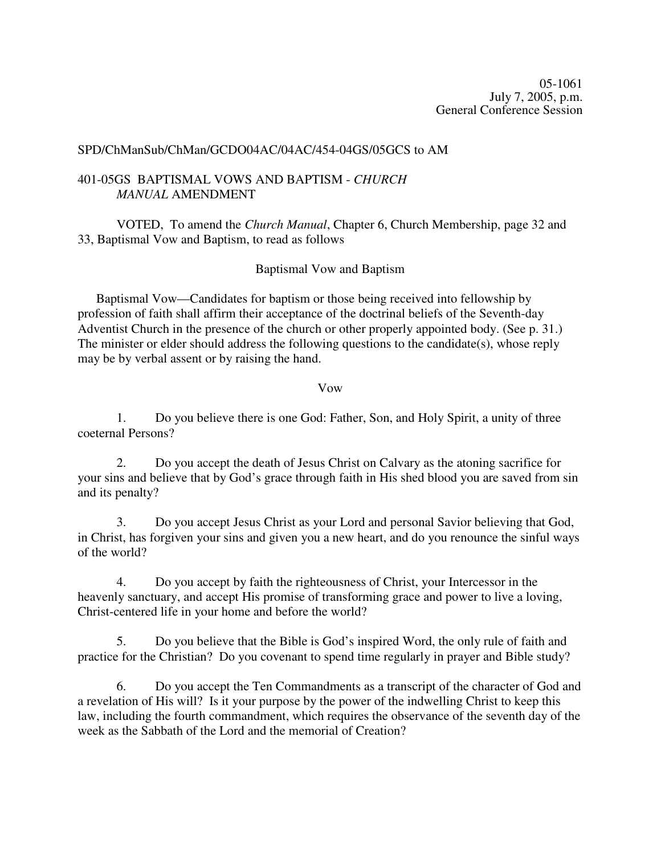05-1061 July 7, 2005, p.m. General Conference Session

#### SPD/ChManSub/ChMan/GCDO04AC/04AC/454-04GS/05GCS to AM

### 401-05GS BAPTISMAL VOWS AND BAPTISM - *CHURCH MANUAL* AMENDMENT

VOTED, To amend the *Church Manual*, Chapter 6, Church Membership, page 32 and 33, Baptismal Vow and Baptism, to read as follows

### Baptismal Vow and Baptism

Baptismal Vow—Candidates for baptism or those being received into fellowship by profession of faith shall affirm their acceptance of the doctrinal beliefs of the Seventh-day Adventist Church in the presence of the church or other properly appointed body. (See p. 31.) The minister or elder should address the following questions to the candidate(s), whose reply may be by verbal assent or by raising the hand.

### Vow

1. Do you believe there is one God: Father, Son, and Holy Spirit, a unity of three coeternal Persons?

2. Do you accept the death of Jesus Christ on Calvary as the atoning sacrifice for your sins and believe that by God's grace through faith in His shed blood you are saved from sin and its penalty?

3. Do you accept Jesus Christ as your Lord and personal Savior believing that God, in Christ, has forgiven your sins and given you a new heart, and do you renounce the sinful ways of the world?

4. Do you accept by faith the righteousness of Christ, your Intercessor in the heavenly sanctuary, and accept His promise of transforming grace and power to live a loving, Christ-centered life in your home and before the world?

5. Do you believe that the Bible is God's inspired Word, the only rule of faith and practice for the Christian? Do you covenant to spend time regularly in prayer and Bible study?

6. Do you accept the Ten Commandments as a transcript of the character of God and a revelation of His will? Is it your purpose by the power of the indwelling Christ to keep this law, including the fourth commandment, which requires the observance of the seventh day of the week as the Sabbath of the Lord and the memorial of Creation?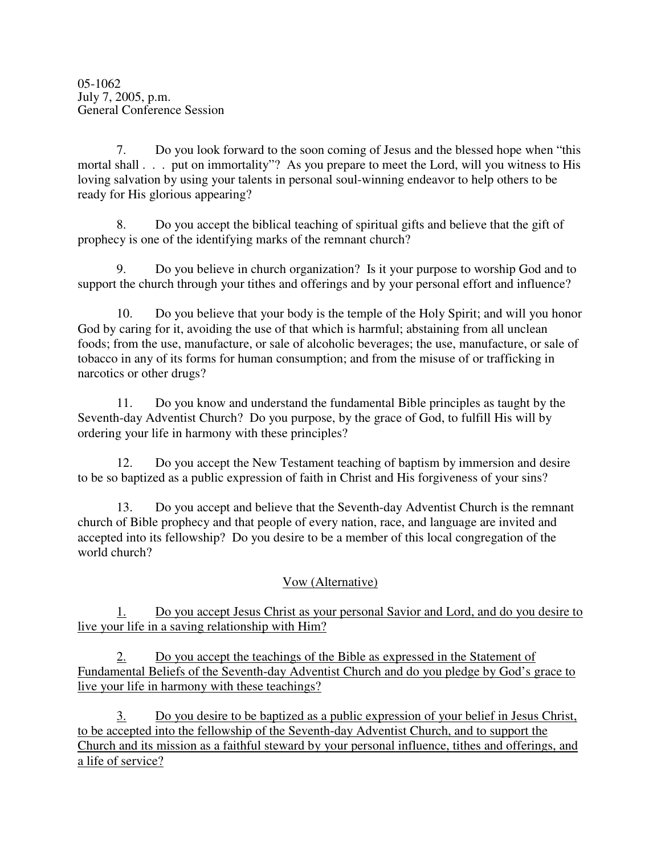7. Do you look forward to the soon coming of Jesus and the blessed hope when "this mortal shall . . . put on immortality"? As you prepare to meet the Lord, will you witness to His loving salvation by using your talents in personal soul-winning endeavor to help others to be ready for His glorious appearing?

8. Do you accept the biblical teaching of spiritual gifts and believe that the gift of prophecy is one of the identifying marks of the remnant church?

9. Do you believe in church organization? Is it your purpose to worship God and to support the church through your tithes and offerings and by your personal effort and influence?

10. Do you believe that your body is the temple of the Holy Spirit; and will you honor God by caring for it, avoiding the use of that which is harmful; abstaining from all unclean foods; from the use, manufacture, or sale of alcoholic beverages; the use, manufacture, or sale of tobacco in any of its forms for human consumption; and from the misuse of or trafficking in narcotics or other drugs?

11. Do you know and understand the fundamental Bible principles as taught by the Seventh-day Adventist Church? Do you purpose, by the grace of God, to fulfill His will by ordering your life in harmony with these principles?

12. Do you accept the New Testament teaching of baptism by immersion and desire to be so baptized as a public expression of faith in Christ and His forgiveness of your sins?

13. Do you accept and believe that the Seventh-day Adventist Church is the remnant church of Bible prophecy and that people of every nation, race, and language are invited and accepted into its fellowship? Do you desire to be a member of this local congregation of the world church?

# Vow (Alternative)

1. Do you accept Jesus Christ as your personal Savior and Lord, and do you desire to live your life in a saving relationship with Him?

2. Do you accept the teachings of the Bible as expressed in the Statement of Fundamental Beliefs of the Seventh-day Adventist Church and do you pledge by God's grace to live your life in harmony with these teachings?

3. Do you desire to be baptized as a public expression of your belief in Jesus Christ, to be accepted into the fellowship of the Seventh-day Adventist Church, and to support the Church and its mission as a faithful steward by your personal influence, tithes and offerings, and a life of service?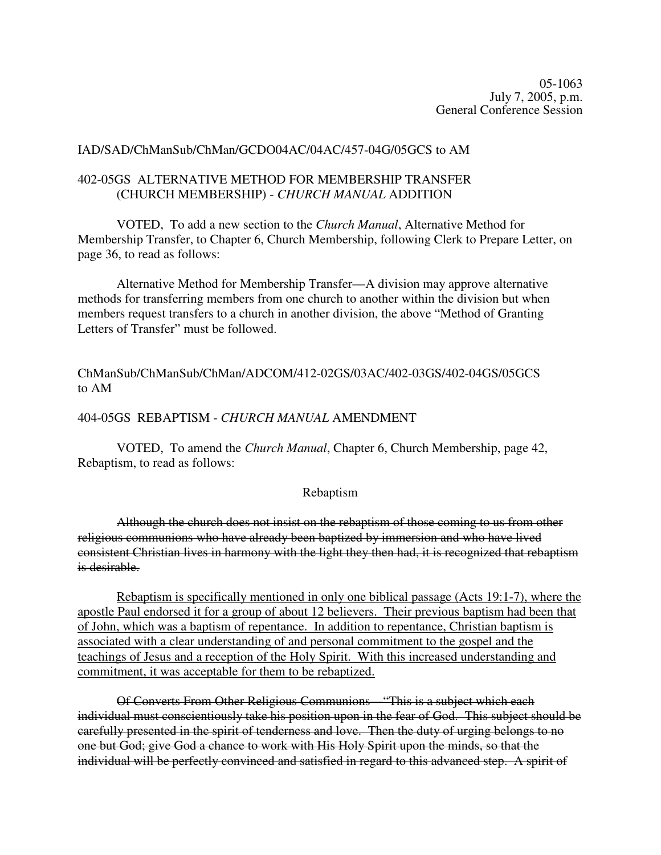05-1063 July 7, 2005, p.m. General Conference Session

#### IAD/SAD/ChManSub/ChMan/GCDO04AC/04AC/457-04G/05GCS to AM

### 402-05GS ALTERNATIVE METHOD FOR MEMBERSHIP TRANSFER (CHURCH MEMBERSHIP) - *CHURCH MANUAL* ADDITION

VOTED, To add a new section to the *Church Manual*, Alternative Method for Membership Transfer, to Chapter 6, Church Membership, following Clerk to Prepare Letter, on page 36, to read as follows:

Alternative Method for Membership Transfer—A division may approve alternative methods for transferring members from one church to another within the division but when members request transfers to a church in another division, the above "Method of Granting Letters of Transfer" must be followed.

# ChManSub/ChManSub/ChMan/ADCOM/412-02GS/03AC/402-03GS/402-04GS/05GCS to AM

### 404-05GS REBAPTISM - *CHURCH MANUAL* AMENDMENT

VOTED, To amend the *Church Manual*, Chapter 6, Church Membership, page 42, Rebaptism, to read as follows:

#### Rebaptism

Although the church does not insist on the rebaptism of those coming to us from other religious communions who have already been baptized by immersion and who have lived consistent Christian lives in harmony with the light they then had, it is recognized that rebaptism is desirable.

Rebaptism is specifically mentioned in only one biblical passage (Acts 19:1-7), where the apostle Paul endorsed it for a group of about 12 believers. Their previous baptism had been that of John, which was a baptism of repentance. In addition to repentance, Christian baptism is associated with a clear understanding of and personal commitment to the gospel and the teachings of Jesus and a reception of the Holy Spirit. With this increased understanding and commitment, it was acceptable for them to be rebaptized.

Of Converts From Other Religious Communions—"This is a subject which each individual must conscientiously take his position upon in the fear of God. This subject should be carefully presented in the spirit of tenderness and love. Then the duty of urging belongs to no one but God; give God a chance to work with His Holy Spirit upon the minds, so that the individual will be perfectly convinced and satisfied in regard to this advanced step. A spirit of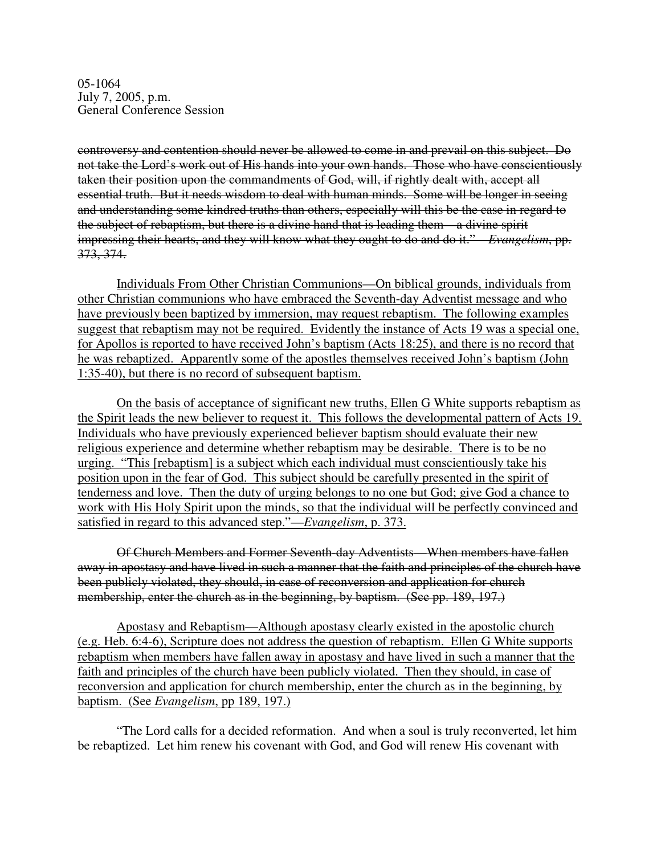05-1064 July 7, 2005, p.m. General Conference Session

controversy and contention should never be allowed to come in and prevail on this subject. Do not take the Lord's work out of His hands into your own hands. Those who have conscientiously taken their position upon the commandments of God, will, if rightly dealt with, accept all essential truth. But it needs wisdom to deal with human minds. Some will be longer in seeing and understanding some kindred truths than others, especially will this be the case in regard to the subject of rebaptism, but there is a divine hand that is leading them—a divine spirit impressing their hearts, and they will know what they ought to do and do it."—*Evangelism*, pp. 373, 374.

Individuals From Other Christian Communions—On biblical grounds, individuals from other Christian communions who have embraced the Seventh-day Adventist message and who have previously been baptized by immersion, may request rebaptism. The following examples suggest that rebaptism may not be required. Evidently the instance of Acts 19 was a special one, for Apollos is reported to have received John's baptism (Acts 18:25), and there is no record that he was rebaptized. Apparently some of the apostles themselves received John's baptism (John 1:35-40), but there is no record of subsequent baptism.

On the basis of acceptance of significant new truths, Ellen G White supports rebaptism as the Spirit leads the new believer to request it. This follows the developmental pattern of Acts 19. Individuals who have previously experienced believer baptism should evaluate their new religious experience and determine whether rebaptism may be desirable. There is to be no urging. "This [rebaptism] is a subject which each individual must conscientiously take his position upon in the fear of God. This subject should be carefully presented in the spirit of tenderness and love. Then the duty of urging belongs to no one but God; give God a chance to work with His Holy Spirit upon the minds, so that the individual will be perfectly convinced and satisfied in regard to this advanced step."—*Evangelism*, p. 373.

Of Church Members and Former Seventh-day Adventists—When members have fallen away in apostasy and have lived in such a manner that the faith and principles of the church have been publicly violated, they should, in case of reconversion and application for church membership, enter the church as in the beginning, by baptism. (See pp. 189, 197.)

Apostasy and Rebaptism—Although apostasy clearly existed in the apostolic church (e.g. Heb. 6:4-6), Scripture does not address the question of rebaptism. Ellen G White supports rebaptism when members have fallen away in apostasy and have lived in such a manner that the faith and principles of the church have been publicly violated. Then they should, in case of reconversion and application for church membership, enter the church as in the beginning, by baptism. (See *Evangelism*, pp 189, 197.)

"The Lord calls for a decided reformation. And when a soul is truly reconverted, let him be rebaptized. Let him renew his covenant with God, and God will renew His covenant with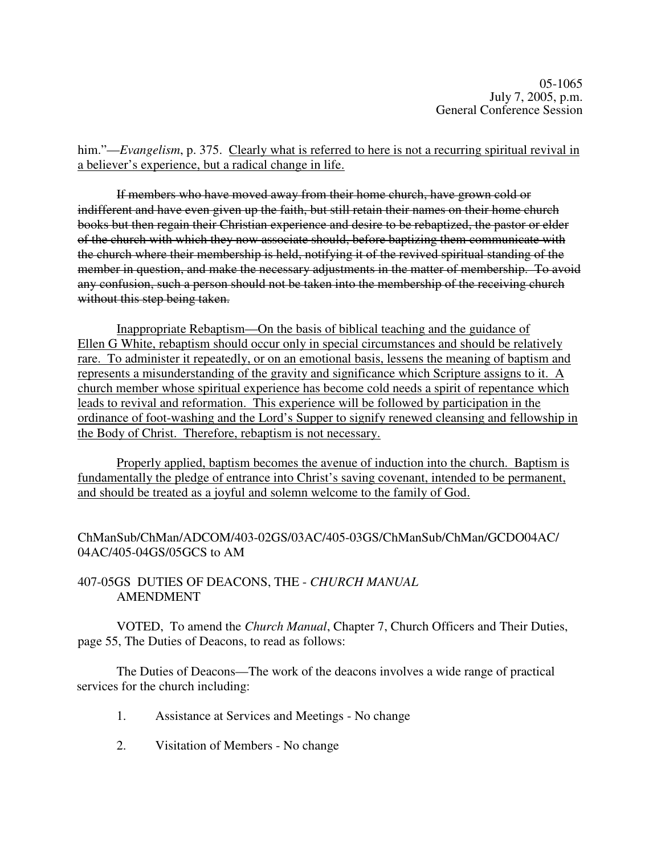him."—*Evangelism*, p. 375. Clearly what is referred to here is not a recurring spiritual revival in a believer's experience, but a radical change in life.

If members who have moved away from their home church, have grown cold or indifferent and have even given up the faith, but still retain their names on their home church books but then regain their Christian experience and desire to be rebaptized, the pastor or elder of the church with which they now associate should, before baptizing them communicate with the church where their membership is held, notifying it of the revived spiritual standing of the member in question, and make the necessary adjustments in the matter of membership. To avoid any confusion, such a person should not be taken into the membership of the receiving church without this step being taken.

Inappropriate Rebaptism—On the basis of biblical teaching and the guidance of Ellen G White, rebaptism should occur only in special circumstances and should be relatively rare. To administer it repeatedly, or on an emotional basis, lessens the meaning of baptism and represents a misunderstanding of the gravity and significance which Scripture assigns to it. A church member whose spiritual experience has become cold needs a spirit of repentance which leads to revival and reformation. This experience will be followed by participation in the ordinance of foot-washing and the Lord's Supper to signify renewed cleansing and fellowship in the Body of Christ. Therefore, rebaptism is not necessary.

Properly applied, baptism becomes the avenue of induction into the church. Baptism is fundamentally the pledge of entrance into Christ's saving covenant, intended to be permanent, and should be treated as a joyful and solemn welcome to the family of God.

ChManSub/ChMan/ADCOM/403-02GS/03AC/405-03GS/ChManSub/ChMan/GCDO04AC/ 04AC/405-04GS/05GCS to AM

407-05GS DUTIES OF DEACONS, THE - *CHURCH MANUAL* AMENDMENT

VOTED, To amend the *Church Manual*, Chapter 7, Church Officers and Their Duties, page 55, The Duties of Deacons, to read as follows:

The Duties of Deacons—The work of the deacons involves a wide range of practical services for the church including:

- 1. Assistance at Services and Meetings No change
- 2. Visitation of Members No change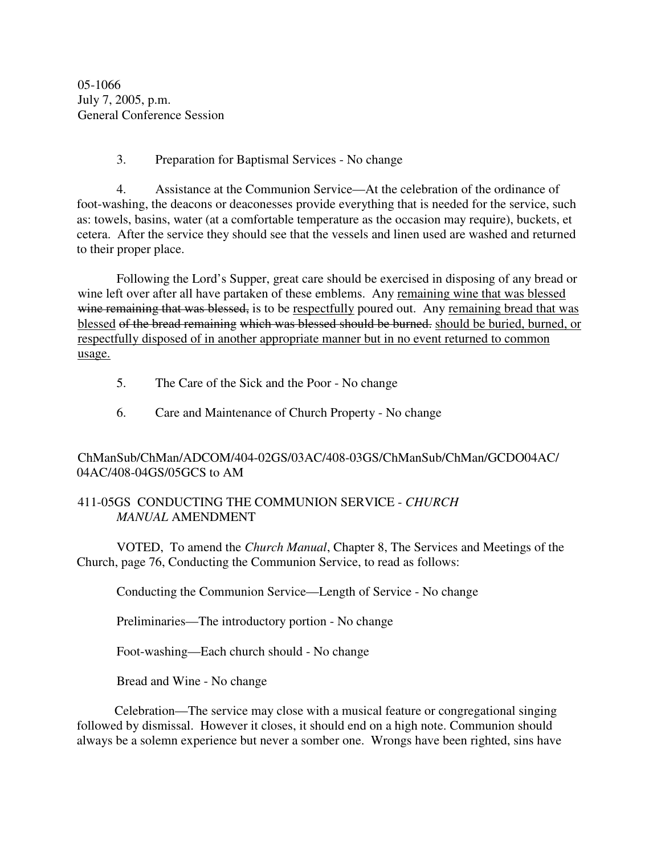05-1066 July 7, 2005, p.m. General Conference Session

# 3. Preparation for Baptismal Services - No change

4. Assistance at the Communion Service—At the celebration of the ordinance of foot-washing, the deacons or deaconesses provide everything that is needed for the service, such as: towels, basins, water (at a comfortable temperature as the occasion may require), buckets, et cetera. After the service they should see that the vessels and linen used are washed and returned to their proper place.

Following the Lord's Supper, great care should be exercised in disposing of any bread or wine left over after all have partaken of these emblems. Any remaining wine that was blessed wine remaining that was blessed, is to be respectfully poured out. Any remaining bread that was blessed of the bread remaining which was blessed should be burned. should be buried, burned, or respectfully disposed of in another appropriate manner but in no event returned to common usage.

- 5. The Care of the Sick and the Poor No change
- 6. Care and Maintenance of Church Property No change

# ChManSub/ChMan/ADCOM/404-02GS/03AC/408-03GS/ChManSub/ChMan/GCDO04AC/ 04AC/408-04GS/05GCS to AM

### 411-05GS CONDUCTING THE COMMUNION SERVICE - *CHURCH MANUAL* AMENDMENT

VOTED, To amend the *Church Manual*, Chapter 8, The Services and Meetings of the Church, page 76, Conducting the Communion Service, to read as follows:

Conducting the Communion Service—Length of Service - No change

Preliminaries—The introductory portion - No change

Foot-washing—Each church should - No change

Bread and Wine - No change

Celebration—The service may close with a musical feature or congregational singing followed by dismissal. However it closes, it should end on a high note. Communion should always be a solemn experience but never a somber one. Wrongs have been righted, sins have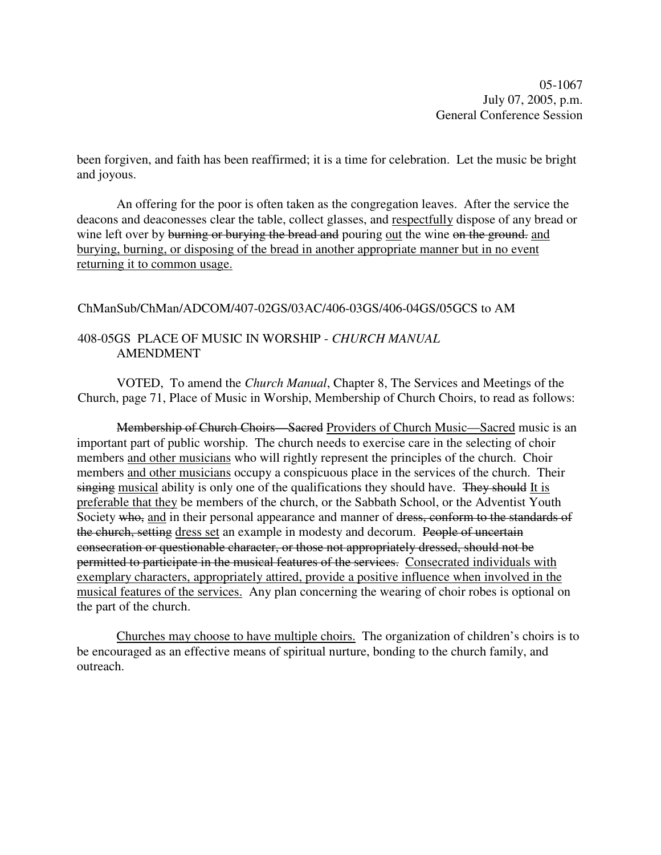05-1067 July 07, 2005, p.m. General Conference Session

been forgiven, and faith has been reaffirmed; it is a time for celebration. Let the music be bright and joyous.

An offering for the poor is often taken as the congregation leaves. After the service the deacons and deaconesses clear the table, collect glasses, and respectfully dispose of any bread or wine left over by burning or burying the bread and pouring out the wine on the ground. and burying, burning, or disposing of the bread in another appropriate manner but in no event returning it to common usage.

ChManSub/ChMan/ADCOM/407-02GS/03AC/406-03GS/406-04GS/05GCS to AM

# 408-05GS PLACE OF MUSIC IN WORSHIP - *CHURCH MANUAL* AMENDMENT

VOTED, To amend the *Church Manual*, Chapter 8, The Services and Meetings of the Church, page 71, Place of Music in Worship, Membership of Church Choirs, to read as follows:

Membership of Church Choirs—Sacred Providers of Church Music—Sacred music is an important part of public worship. The church needs to exercise care in the selecting of choir members and other musicians who will rightly represent the principles of the church. Choir members and other musicians occupy a conspicuous place in the services of the church. Their singing musical ability is only one of the qualifications they should have. They should It is preferable that they be members of the church, or the Sabbath School, or the Adventist Youth Society who, and in their personal appearance and manner of dress, conform to the standards of the church, setting dress set an example in modesty and decorum. People of uncertain consecration or questionable character, or those not appropriately dressed, should not be permitted to participate in the musical features of the services. Consecrated individuals with exemplary characters, appropriately attired, provide a positive influence when involved in the musical features of the services. Any plan concerning the wearing of choir robes is optional on the part of the church.

Churches may choose to have multiple choirs. The organization of children's choirs is to be encouraged as an effective means of spiritual nurture, bonding to the church family, and outreach.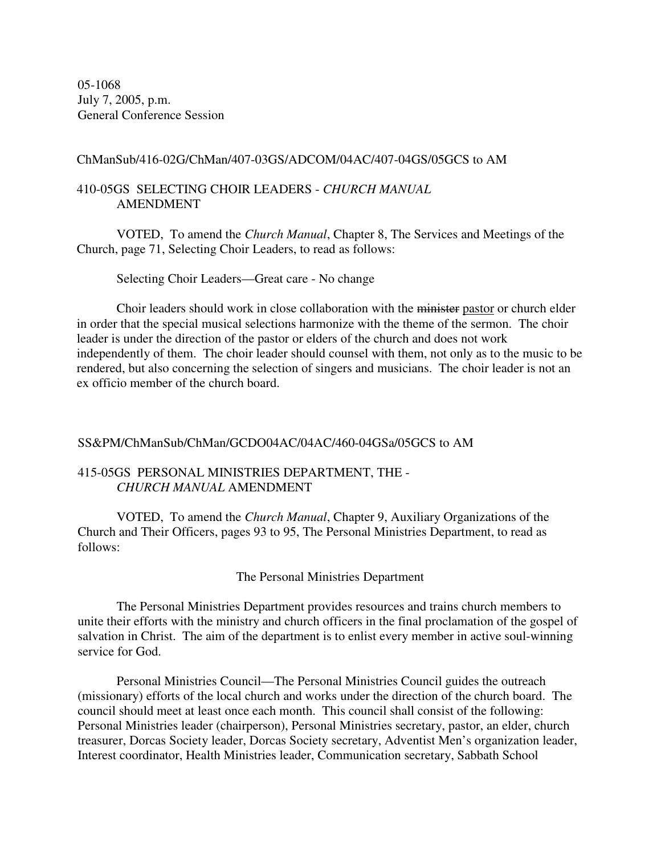05-1068 July 7, 2005, p.m. General Conference Session

#### ChManSub/416-02G/ChMan/407-03GS/ADCOM/04AC/407-04GS/05GCS to AM

### 410-05GS SELECTING CHOIR LEADERS - *CHURCH MANUAL* AMENDMENT

VOTED, To amend the *Church Manual*, Chapter 8, The Services and Meetings of the Church, page 71, Selecting Choir Leaders, to read as follows:

Selecting Choir Leaders—Great care - No change

Choir leaders should work in close collaboration with the minister pastor or church elder in order that the special musical selections harmonize with the theme of the sermon. The choir leader is under the direction of the pastor or elders of the church and does not work independently of them. The choir leader should counsel with them, not only as to the music to be rendered, but also concerning the selection of singers and musicians. The choir leader is not an ex officio member of the church board.

#### SS&PM/ChManSub/ChMan/GCDO04AC/04AC/460-04GSa/05GCS to AM

#### 415-05GS PERSONAL MINISTRIES DEPARTMENT, THE - *CHURCH MANUAL* AMENDMENT

VOTED, To amend the *Church Manual*, Chapter 9, Auxiliary Organizations of the Church and Their Officers, pages 93 to 95, The Personal Ministries Department, to read as follows:

The Personal Ministries Department

The Personal Ministries Department provides resources and trains church members to unite their efforts with the ministry and church officers in the final proclamation of the gospel of salvation in Christ. The aim of the department is to enlist every member in active soul-winning service for God.

Personal Ministries Council—The Personal Ministries Council guides the outreach (missionary) efforts of the local church and works under the direction of the church board. The council should meet at least once each month. This council shall consist of the following: Personal Ministries leader (chairperson), Personal Ministries secretary, pastor, an elder, church treasurer, Dorcas Society leader, Dorcas Society secretary, Adventist Men's organization leader, Interest coordinator, Health Ministries leader, Communication secretary, Sabbath School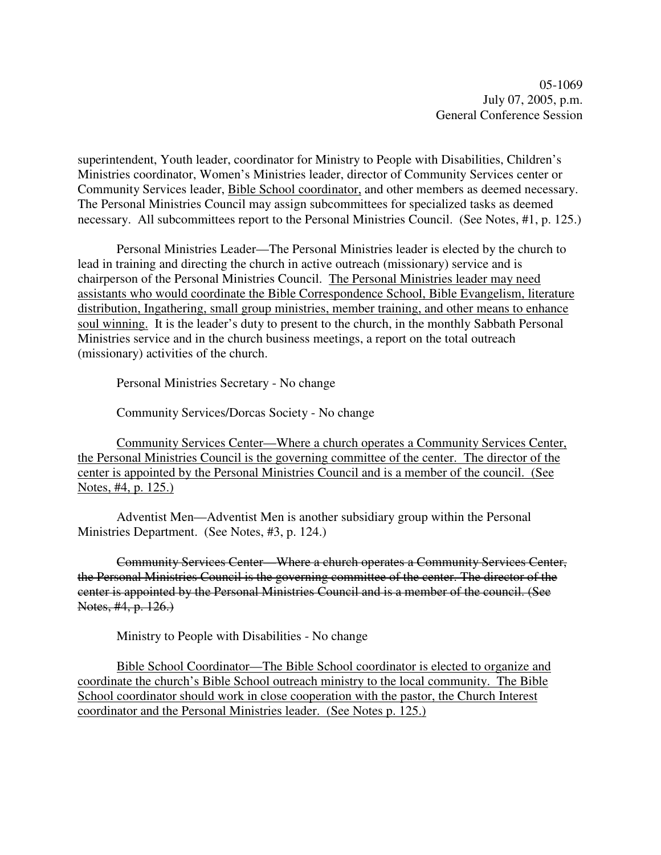superintendent, Youth leader, coordinator for Ministry to People with Disabilities, Children's Ministries coordinator, Women's Ministries leader, director of Community Services center or Community Services leader, Bible School coordinator, and other members as deemed necessary. The Personal Ministries Council may assign subcommittees for specialized tasks as deemed necessary. All subcommittees report to the Personal Ministries Council. (See Notes, #1, p. 125.)

Personal Ministries Leader—The Personal Ministries leader is elected by the church to lead in training and directing the church in active outreach (missionary) service and is chairperson of the Personal Ministries Council. The Personal Ministries leader may need assistants who would coordinate the Bible Correspondence School, Bible Evangelism, literature distribution, Ingathering, small group ministries, member training, and other means to enhance soul winning. It is the leader's duty to present to the church, in the monthly Sabbath Personal Ministries service and in the church business meetings, a report on the total outreach (missionary) activities of the church.

Personal Ministries Secretary - No change

Community Services/Dorcas Society - No change

Community Services Center—Where a church operates a Community Services Center, the Personal Ministries Council is the governing committee of the center. The director of the center is appointed by the Personal Ministries Council and is a member of the council. (See Notes, #4, p. 125.)

Adventist Men—Adventist Men is another subsidiary group within the Personal Ministries Department. (See Notes, #3, p. 124.)

Community Services Center—Where a church operates a Community Services Center, the Personal Ministries Council is the governing committee of the center. The director of the center is appointed by the Personal Ministries Council and is a member of the council. (See Notes, #4, p. 126.

Ministry to People with Disabilities - No change

Bible School Coordinator—The Bible School coordinator is elected to organize and coordinate the church's Bible School outreach ministry to the local community. The Bible School coordinator should work in close cooperation with the pastor, the Church Interest coordinator and the Personal Ministries leader. (See Notes p. 125.)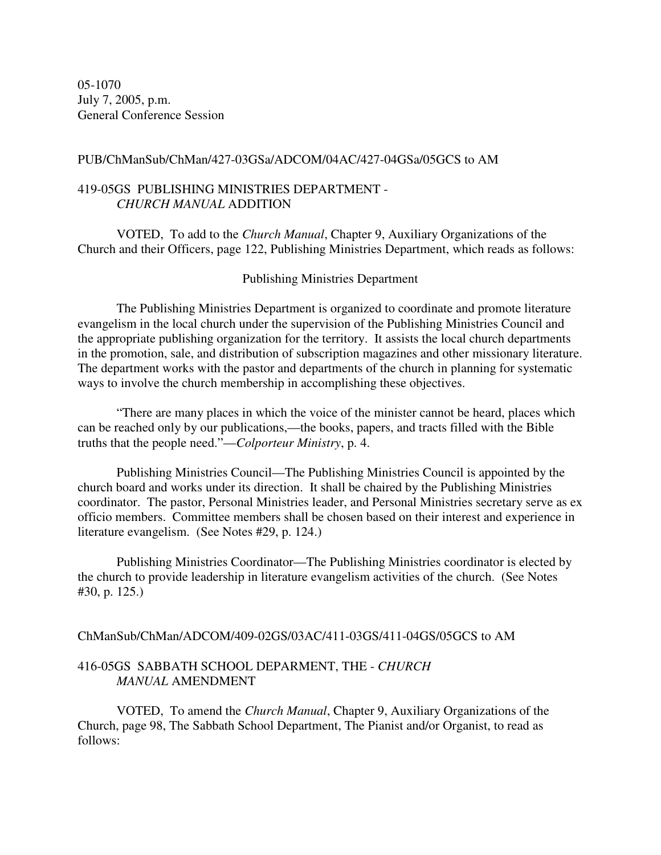05-1070 July 7, 2005, p.m. General Conference Session

PUB/ChManSub/ChMan/427-03GSa/ADCOM/04AC/427-04GSa/05GCS to AM

### 419-05GS PUBLISHING MINISTRIES DEPARTMENT - *CHURCH MANUAL* ADDITION

VOTED, To add to the *Church Manual*, Chapter 9, Auxiliary Organizations of the Church and their Officers, page 122, Publishing Ministries Department, which reads as follows:

Publishing Ministries Department

The Publishing Ministries Department is organized to coordinate and promote literature evangelism in the local church under the supervision of the Publishing Ministries Council and the appropriate publishing organization for the territory. It assists the local church departments in the promotion, sale, and distribution of subscription magazines and other missionary literature. The department works with the pastor and departments of the church in planning for systematic ways to involve the church membership in accomplishing these objectives.

"There are many places in which the voice of the minister cannot be heard, places which can be reached only by our publications,—the books, papers, and tracts filled with the Bible truths that the people need."—*Colporteur Ministry*, p. 4.

Publishing Ministries Council—The Publishing Ministries Council is appointed by the church board and works under its direction. It shall be chaired by the Publishing Ministries coordinator. The pastor, Personal Ministries leader, and Personal Ministries secretary serve as ex officio members. Committee members shall be chosen based on their interest and experience in literature evangelism. (See Notes #29, p. 124.)

Publishing Ministries Coordinator—The Publishing Ministries coordinator is elected by the church to provide leadership in literature evangelism activities of the church. (See Notes #30, p. 125.)

#### ChManSub/ChMan/ADCOM/409-02GS/03AC/411-03GS/411-04GS/05GCS to AM

# 416-05GS SABBATH SCHOOL DEPARMENT, THE - *CHURCH MANUAL* AMENDMENT

VOTED, To amend the *Church Manual*, Chapter 9, Auxiliary Organizations of the Church, page 98, The Sabbath School Department, The Pianist and/or Organist, to read as follows: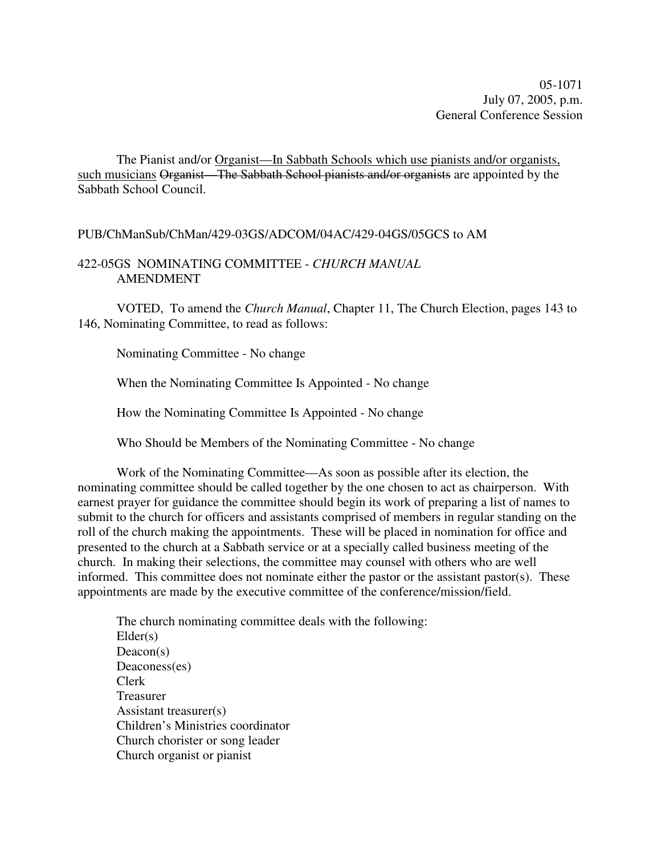05-1071 July 07, 2005, p.m. General Conference Session

The Pianist and/or Organist—In Sabbath Schools which use pianists and/or organists, such musicians Organist—The Sabbath School pianists and/or organists are appointed by the Sabbath School Council.

#### PUB/ChManSub/ChMan/429-03GS/ADCOM/04AC/429-04GS/05GCS to AM

# 422-05GS NOMINATING COMMITTEE - *CHURCH MANUAL* AMENDMENT

VOTED, To amend the *Church Manual*, Chapter 11, The Church Election, pages 143 to 146, Nominating Committee, to read as follows:

Nominating Committee - No change

When the Nominating Committee Is Appointed - No change

How the Nominating Committee Is Appointed - No change

Who Should be Members of the Nominating Committee - No change

Work of the Nominating Committee—As soon as possible after its election, the nominating committee should be called together by the one chosen to act as chairperson. With earnest prayer for guidance the committee should begin its work of preparing a list of names to submit to the church for officers and assistants comprised of members in regular standing on the roll of the church making the appointments. These will be placed in nomination for office and presented to the church at a Sabbath service or at a specially called business meeting of the church. In making their selections, the committee may counsel with others who are well informed. This committee does not nominate either the pastor or the assistant pastor(s). These appointments are made by the executive committee of the conference/mission/field.

The church nominating committee deals with the following: Elder(s) Deacon(s) Deaconess(es) Clerk Treasurer Assistant treasurer(s) Children's Ministries coordinator Church chorister or song leader Church organist or pianist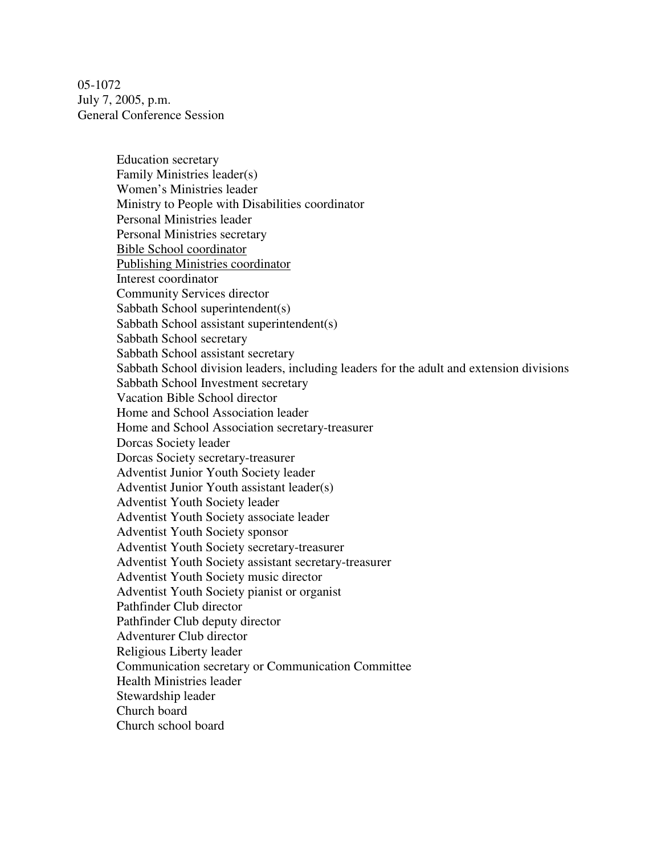05-1072 July 7, 2005, p.m. General Conference Session

> Education secretary Family Ministries leader(s) Women's Ministries leader Ministry to People with Disabilities coordinator Personal Ministries leader Personal Ministries secretary Bible School coordinator Publishing Ministries coordinator Interest coordinator Community Services director Sabbath School superintendent(s) Sabbath School assistant superintendent(s) Sabbath School secretary Sabbath School assistant secretary Sabbath School division leaders, including leaders for the adult and extension divisions Sabbath School Investment secretary Vacation Bible School director Home and School Association leader Home and School Association secretary-treasurer Dorcas Society leader Dorcas Society secretary-treasurer Adventist Junior Youth Society leader Adventist Junior Youth assistant leader(s) Adventist Youth Society leader Adventist Youth Society associate leader Adventist Youth Society sponsor Adventist Youth Society secretary-treasurer Adventist Youth Society assistant secretary-treasurer Adventist Youth Society music director Adventist Youth Society pianist or organist Pathfinder Club director Pathfinder Club deputy director Adventurer Club director Religious Liberty leader Communication secretary or Communication Committee Health Ministries leader Stewardship leader Church board Church school board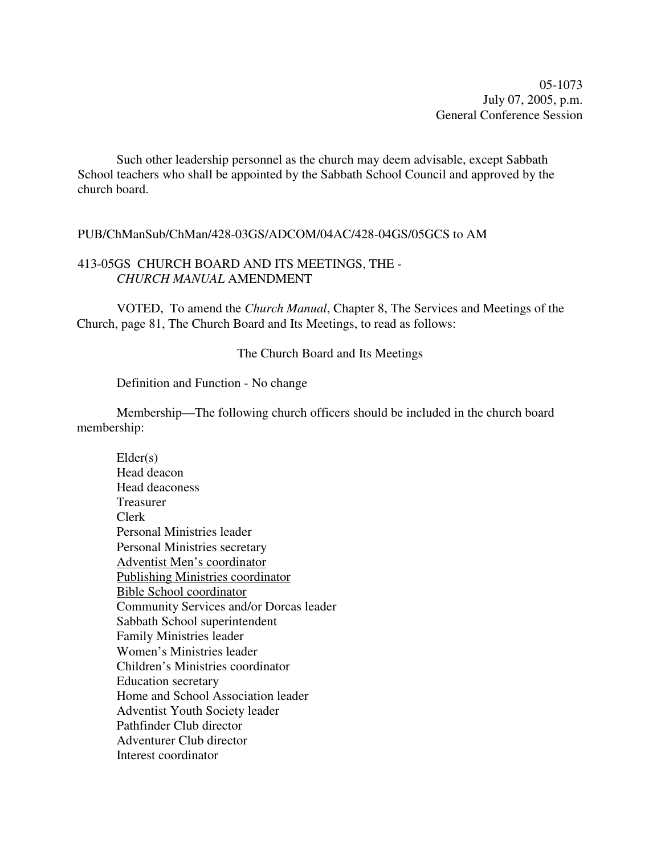05-1073 July 07, 2005, p.m. General Conference Session

Such other leadership personnel as the church may deem advisable, except Sabbath School teachers who shall be appointed by the Sabbath School Council and approved by the church board.

#### PUB/ChManSub/ChMan/428-03GS/ADCOM/04AC/428-04GS/05GCS to AM

### 413-05GS CHURCH BOARD AND ITS MEETINGS, THE - *CHURCH MANUAL* AMENDMENT

VOTED, To amend the *Church Manual*, Chapter 8, The Services and Meetings of the Church, page 81, The Church Board and Its Meetings, to read as follows:

The Church Board and Its Meetings

Definition and Function - No change

Membership—The following church officers should be included in the church board membership:

 $Elder(s)$ Head deacon Head deaconess Treasurer Clerk Personal Ministries leader Personal Ministries secretary Adventist Men's coordinator Publishing Ministries coordinator Bible School coordinator Community Services and/or Dorcas leader Sabbath School superintendent Family Ministries leader Women's Ministries leader Children's Ministries coordinator Education secretary Home and School Association leader Adventist Youth Society leader Pathfinder Club director Adventurer Club director Interest coordinator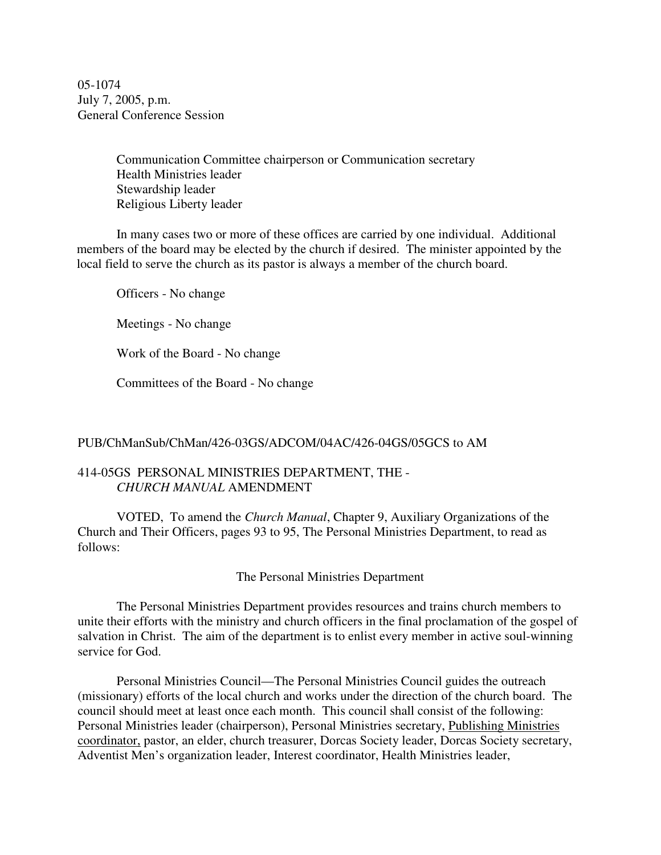05-1074 July 7, 2005, p.m. General Conference Session

> Communication Committee chairperson or Communication secretary Health Ministries leader Stewardship leader Religious Liberty leader

In many cases two or more of these offices are carried by one individual. Additional members of the board may be elected by the church if desired. The minister appointed by the local field to serve the church as its pastor is always a member of the church board.

Officers - No change

Meetings - No change

Work of the Board - No change

Committees of the Board - No change

#### PUB/ChManSub/ChMan/426-03GS/ADCOM/04AC/426-04GS/05GCS to AM

### 414-05GS PERSONAL MINISTRIES DEPARTMENT, THE - *CHURCH MANUAL* AMENDMENT

VOTED, To amend the *Church Manual*, Chapter 9, Auxiliary Organizations of the Church and Their Officers, pages 93 to 95, The Personal Ministries Department, to read as follows:

The Personal Ministries Department

The Personal Ministries Department provides resources and trains church members to unite their efforts with the ministry and church officers in the final proclamation of the gospel of salvation in Christ. The aim of the department is to enlist every member in active soul-winning service for God.

Personal Ministries Council—The Personal Ministries Council guides the outreach (missionary) efforts of the local church and works under the direction of the church board. The council should meet at least once each month. This council shall consist of the following: Personal Ministries leader (chairperson), Personal Ministries secretary, Publishing Ministries coordinator, pastor, an elder, church treasurer, Dorcas Society leader, Dorcas Society secretary, Adventist Men's organization leader, Interest coordinator, Health Ministries leader,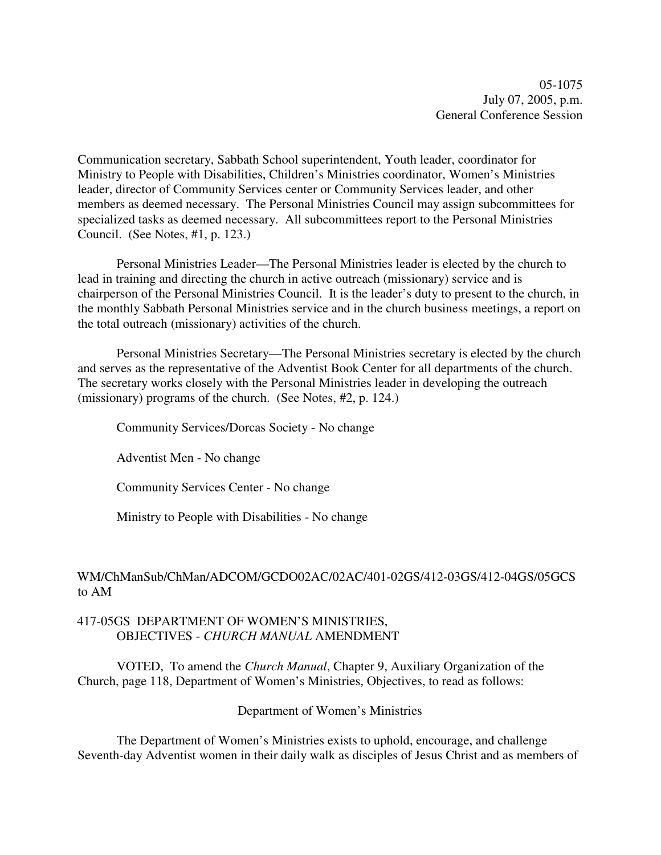05-1075 July 07, 2005, p.m. General Conference Session

Communication secretary, Sabbath School superintendent, Youth leader, coordinator for Ministry to People with Disabilities, Children's Ministries coordinator, Women's Ministries leader, director of Community Services center or Community Services leader, and other members as deemed necessary. The Personal Ministries Council may assign subcommittees for specialized tasks as deemed necessary. All subcommittees report to the Personal Ministries Council. (See Notes, #1, p. 123.)

Personal Ministries Leader—The Personal Ministries leader is elected by the church to lead in training and directing the church in active outreach (missionary) service and is chairperson of the Personal Ministries Council. It is the leader's duty to present to the church, in the monthly Sabbath Personal Ministries service and in the church business meetings, a report on the total outreach (missionary) activities of the church.

Personal Ministries Secretary—The Personal Ministries secretary is elected by the church and serves as the representative of the Adventist Book Center for all departments of the church. The secretary works closely with the Personal Ministries leader in developing the outreach (missionary) programs of the church. (See Notes, #2, p. 124.)

Community Services/Dorcas Society - No change

Adventist Men - No change

Community Services Center - No change

Ministry to People with Disabilities - No change

# WM/ChManSub/ChMan/ADCOM/GCDO02AC/02AC/401-02GS/412-03GS/412-04GS/05GCS to AM

#### 417-05GS DEPARTMENT OF WOMEN'S MINISTRIES, OBJECTIVES - *CHURCH MANUAL* AMENDMENT

VOTED, To amend the *Church Manual*, Chapter 9, Auxiliary Organization of the Church, page 118, Department of Women's Ministries, Objectives, to read as follows:

Department of Women's Ministries

The Department of Women's Ministries exists to uphold, encourage, and challenge Seventh-day Adventist women in their daily walk as disciples of Jesus Christ and as members of